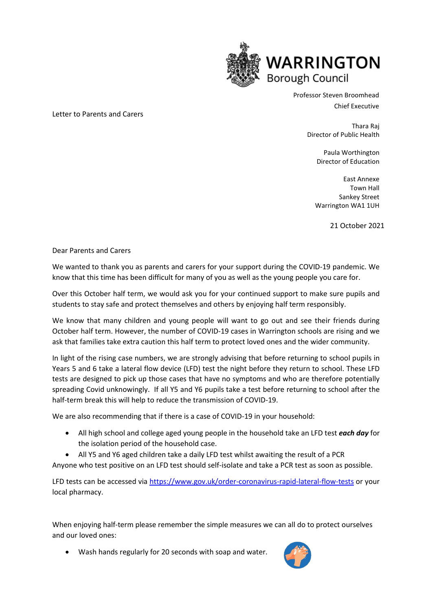

Professor Steven Broomhead Chief Executive

> Thara Raj Director of Public Health

> > Paula Worthington Director of Education

> > East Annexe Town Hall Sankey Street Warrington WA1 1UH

> > > 21 October 2021

Dear Parents and Carers

Letter to Parents and Carers

We wanted to thank you as parents and carers for your support during the COVID-19 pandemic. We know that this time has been difficult for many of you as well as the young people you care for.

Over this October half term, we would ask you for your continued support to make sure pupils and students to stay safe and protect themselves and others by enjoying half term responsibly.

We know that many children and young people will want to go out and see their friends during October half term. However, the number of COVID-19 cases in Warrington schools are rising and we ask that families take extra caution this half term to protect loved ones and the wider community.

In light of the rising case numbers, we are strongly advising that before returning to school pupils in Years 5 and 6 take a lateral flow device (LFD) test the night before they return to school. These LFD tests are designed to pick up those cases that have no symptoms and who are therefore potentially spreading Covid unknowingly. If all Y5 and Y6 pupils take a test before returning to school after the half-term break this will help to reduce the transmission of COVID-19.

We are also recommending that if there is a case of COVID-19 in your household:

- All high school and college aged young people in the household take an LFD test *each day* for the isolation period of the household case.
- All Y5 and Y6 aged children take a daily LFD test whilst awaiting the result of a PCR

Anyone who test positive on an LFD test should self-isolate and take a PCR test as soon as possible.

LFD tests can be accessed via<https://www.gov.uk/order-coronavirus-rapid-lateral-flow-tests> or your local pharmacy.

When enjoying half-term please remember the simple measures we can all do to protect ourselves and our loved ones:

• Wash hands regularly for 20 seconds with soap and water.